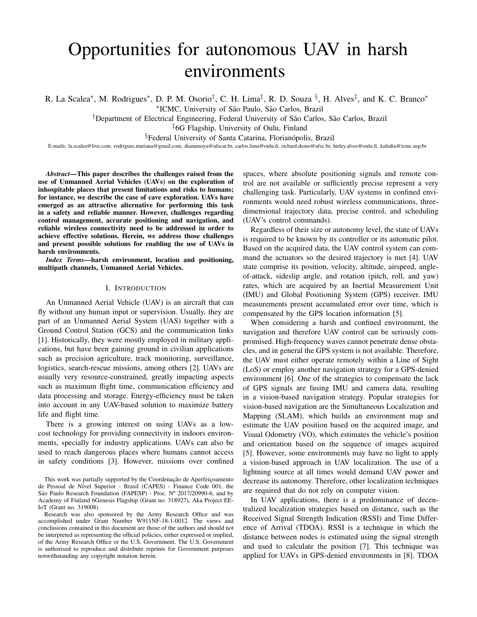# Opportunities for autonomous UAV in harsh environments

R. La Scalea<sup>\*</sup>, M. Rodrigues<sup>\*</sup>, D. P. M. Osorio<sup>†</sup>, C. H. Lima<sup>‡</sup>, R. D. Souza <sup>§</sup>, H. Alves<sup>‡</sup>, and K. C. Branco<sup>\*</sup>

\*ICMC, University of São Paulo, São Carlos, Brazil

<sup>†</sup>Department of Electrical Engineering, Federal University of São Carlos, São Carlos, Brazil

‡6G Flagship, University of Oulu, Finland

§Federal University of Santa Catarina, Florianópolis, Brazil

E-mails: la.scalea@live.com, rodrigues.mariana@gmail.com, dianamoya@ufscar.br, carlos.lima@oulu.fi, richard.demo@ufsc.br, hirley.alves@oulu.fi, kalinka@icmc.usp.br

*Abstract*—This paper describes the challenges raised from the use of Unmanned Aerial Vehicles (UAVs) on the exploration of inhospitable places that present limitations and risks to humans; for instance, we describe the case of cave exploration. UAVs have emerged as an attractive alternative for performing this task in a safety and reliable manner. However, challenges regarding control management, accurate positioning and navigation, and reliable wireless connectivity need to be addressed in order to achieve effective solutions. Herein, we address those challenges and present possible solutions for enabling the use of UAVs in harsh environments.

*Index Terms*—harsh environment, location and positioning, multipath channels, Unmanned Aerial Vehicles.

## I. INTRODUCTION

An Unmanned Aerial Vehicle (UAV) is an aircraft that can fly without any human input or supervision. Usually, they are part of an Unmanned Aerial System (UAS) together with a Ground Control Station (GCS) and the communication links [1]. Historically, they were mostly employed in military applications, but have been gaining ground in civilian applications such as precision agriculture, track monitoring, surveillance, logistics, search-rescue missions, among others [2]. UAVs are usually very resource-constrained, greatly impacting aspects such as maximum flight time, communication efficiency and data processing and storage. Energy-efficiency must be taken into account in any UAV-based solution to maximize battery life and flight time.

There is a growing interest on using UAVs as a lowcost technology for providing connectivity in indoors environments, specially for industry applications. UAVs can also be used to reach dangerous places where humans cannot access in safety conditions [3]. However, missions over confined spaces, where absolute positioning signals and remote control are not available or sufficiently precise represent a very challenging task. Particularly, UAV systems in confined environments would need robust wireless communications, threedimensional trajectory data, precise control, and scheduling (UAV's control commands).

Regardless of their size or autonomy level, the state of UAVs is required to be known by its controller or its automatic pilot. Based on the acquired data, the UAV control system can command the actuators so the desired trajectory is met [4]. UAV state comprise its position, velocity, altitude, airspeed, angleof-attack, sideslip angle, and rotation (pitch, roll, and yaw) rates, which are acquired by an Inertial Measurement Unit (IMU) and Global Positioning System (GPS) receiver. IMU measurements present accumulated error over time, which is compensated by the GPS location information [5].

When considering a harsh and confined environment, the navigation and therefore UAV control can be seriously compromised. High-frequency waves cannot penetrate dense obstacles, and in general the GPS system is not available. Therefore, the UAV must either operate remotely within a Line of Sight (LoS) or employ another navigation strategy for a GPS-denied environment [6]. One of the strategies to compensate the lack of GPS signals are fusing IMU and camera data, resulting in a vision-based navigation strategy. Popular strategies for vision-based navigation are the Simultaneous Localization and Mapping (SLAM), which builds an environment map and estimate the UAV position based on the acquired image, and Visual Odometry (VO), which estimates the vehicle's position and orientation based on the sequence of images acquired [5]. However, some environments may have no light to apply a vision-based approach in UAV localization. The use of a lightning source at all times would demand UAV power and decrease its autonomy. Therefore, other localization techniques are required that do not rely on computer vision.

In UAV applications, there is a predominance of decentralized localization strategies based on distance, such as the Received Signal Strength Indication (RSSI) and Time Difference of Arrival (TDOA). RSSI is a technique in which the distance between nodes is estimated using the signal strength and used to calculate the position [7]. This technique was applied for UAVs in GPS-denied environments in [8]. TDOA

This work was partially supported by the Coordenação de Aperfeiçoamento de Pessoal de Nível Superior - Brasil (CAPES) - Finance Code 001, the São Paulo Research Foundation (FAPESP) - Proc. Nº 2017/20990-6, and by Academy of Finland 6Genesis Flagship (Grant no. 318927), Aka Project EE-IoT (Grant no. 319008).

Research was also sponsored by the Army Research Office and was accomplished under Grant Number W911NF-18-1-0012. The views and conclusions contained in this document are those of the authors and should not be interpreted as representing the official policies, either expressed or implied, of the Army Research Office or the U.S. Government. The U.S. Government is authorised to reproduce and distribute reprints for Government purposes notwithstanding any copyright notation herein.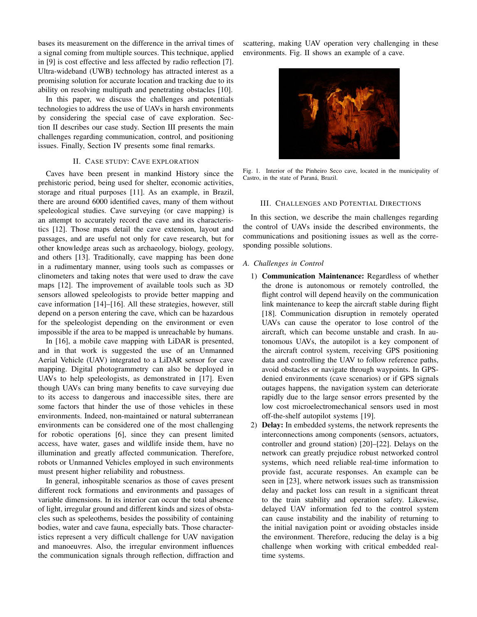bases its measurement on the difference in the arrival times of a signal coming from multiple sources. This technique, applied in [9] is cost effective and less affected by radio reflection [7]. Ultra-wideband (UWB) technology has attracted interest as a promising solution for accurate location and tracking due to its ability on resolving multipath and penetrating obstacles [10].

In this paper, we discuss the challenges and potentials technologies to address the use of UAVs in harsh environments by considering the special case of cave exploration. Section II describes our case study. Section III presents the main challenges regarding communication, control, and positioning issues. Finally, Section IV presents some final remarks.

# II. CASE STUDY: CAVE EXPLORATION

Caves have been present in mankind History since the prehistoric period, being used for shelter, economic activities, storage and ritual purposes [11]. As an example, in Brazil, there are around 6000 identified caves, many of them without speleological studies. Cave surveying (or cave mapping) is an attempt to accurately record the cave and its characteristics [12]. Those maps detail the cave extension, layout and passages, and are useful not only for cave research, but for other knowledge areas such as archaeology, biology, geology, and others [13]. Traditionally, cave mapping has been done in a rudimentary manner, using tools such as compasses or clinometers and taking notes that were used to draw the cave maps [12]. The improvement of available tools such as 3D sensors allowed speleologists to provide better mapping and cave information [14]–[16]. All these strategies, however, still depend on a person entering the cave, which can be hazardous for the speleologist depending on the environment or even impossible if the area to be mapped is unreachable by humans.

In [16], a mobile cave mapping with LiDAR is presented, and in that work is suggested the use of an Unmanned Aerial Vehicle (UAV) integrated to a LiDAR sensor for cave mapping. Digital photogrammetry can also be deployed in UAVs to help speleologists, as demonstrated in [17]. Even though UAVs can bring many benefits to cave surveying due to its access to dangerous and inaccessible sites, there are some factors that hinder the use of those vehicles in these environments. Indeed, non-maintained or natural subterranean environments can be considered one of the most challenging for robotic operations [6], since they can present limited access, have water, gases and wildlife inside them, have no illumination and greatly affected communication. Therefore, robots or Unmanned Vehicles employed in such environments must present higher reliability and robustness.

In general, inhospitable scenarios as those of caves present different rock formations and environments and passages of variable dimensions. In its interior can occur the total absence of light, irregular ground and different kinds and sizes of obstacles such as speleothems, besides the possibility of containing bodies, water and cave fauna, especially bats. Those characteristics represent a very difficult challenge for UAV navigation and manoeuvres. Also, the irregular environment influences the communication signals through reflection, diffraction and

scattering, making UAV operation very challenging in these environments. Fig. II shows an example of a cave.



Fig. 1. Interior of the Pinheiro Seco cave, located in the municipality of Castro, in the state of Paraná, Brazil.

#### III. CHALLENGES AND POTENTIAL DIRECTIONS

In this section, we describe the main challenges regarding the control of UAVs inside the described environments, the communications and positioning issues as well as the corresponding possible solutions.

#### *A. Challenges in Control*

- 1) Communication Maintenance: Regardless of whether the drone is autonomous or remotely controlled, the flight control will depend heavily on the communication link maintenance to keep the aircraft stable during flight [18]. Communication disruption in remotely operated UAVs can cause the operator to lose control of the aircraft, which can become unstable and crash. In autonomous UAVs, the autopilot is a key component of the aircraft control system, receiving GPS positioning data and controlling the UAV to follow reference paths, avoid obstacles or navigate through waypoints. In GPSdenied environments (cave scenarios) or if GPS signals outages happens, the navigation system can deteriorate rapidly due to the large sensor errors presented by the low cost microelectromechanical sensors used in most off-the-shelf autopilot systems [19].
- 2) Delay: In embedded systems, the network represents the interconnections among components (sensors, actuators, controller and ground station) [20]–[22]. Delays on the network can greatly prejudice robust networked control systems, which need reliable real-time information to provide fast, accurate responses. An example can be seen in [23], where network issues such as transmission delay and packet loss can result in a significant threat to the train stability and operation safety. Likewise, delayed UAV information fed to the control system can cause instability and the inability of returning to the initial navigation point or avoiding obstacles inside the environment. Therefore, reducing the delay is a big challenge when working with critical embedded realtime systems.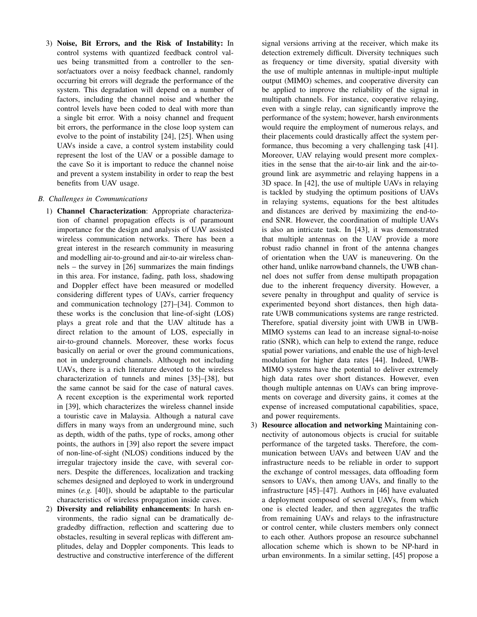3) Noise, Bit Errors, and the Risk of Instability: In control systems with quantized feedback control values being transmitted from a controller to the sensor/actuators over a noisy feedback channel, randomly occurring bit errors will degrade the performance of the system. This degradation will depend on a number of factors, including the channel noise and whether the control levels have been coded to deal with more than a single bit error. With a noisy channel and frequent bit errors, the performance in the close loop system can evolve to the point of instability [24], [25]. When using UAVs inside a cave, a control system instability could represent the lost of the UAV or a possible damage to the cave So it is important to reduce the channel noise and prevent a system instability in order to reap the best benefits from UAV usage.

# *B. Challenges in Communications*

- 1) Channel Characterization: Appropriate characterization of channel propagation effects is of paramount importance for the design and analysis of UAV assisted wireless communication networks. There has been a great interest in the research community in measuring and modelling air-to-ground and air-to-air wireless channels – the survey in [26] summarizes the main findings in this area. For instance, fading, path loss, shadowing and Doppler effect have been measured or modelled considering different types of UAVs, carrier frequency and communication technology [27]–[34]. Common to these works is the conclusion that line-of-sight (LOS) plays a great role and that the UAV altitude has a direct relation to the amount of LOS, especially in air-to-ground channels. Moreover, these works focus basically on aerial or over the ground communications, not in underground channels. Although not including UAVs, there is a rich literature devoted to the wireless characterization of tunnels and mines [35]–[38], but the same cannot be said for the case of natural caves. A recent exception is the experimental work reported in [39], which characterizes the wireless channel inside a touristic cave in Malaysia. Although a natural cave differs in many ways from an underground mine, such as depth, width of the paths, type of rocks, among other points, the authors in [39] also report the severe impact of non-line-of-sight (NLOS) conditions induced by the irregular trajectory inside the cave, with several corners. Despite the differences, localization and tracking schemes designed and deployed to work in underground mines (*e.g.* [40]), should be adaptable to the particular characteristics of wireless propagation inside caves.
- 2) Diversity and reliability enhancements: In harsh environments, the radio signal can be dramatically degradedby diffraction, reflection and scattering due to obstacles, resulting in several replicas with different amplitudes, delay and Doppler components. This leads to destructive and constructive interference of the different

signal versions arriving at the receiver, which make its detection extremely difficult. Diversity techniques such as frequency or time diversity, spatial diversity with the use of multiple antennas in multiple-input multiple output (MIMO) schemes, and cooperative diversity can be applied to improve the reliability of the signal in multipath channels. For instance, cooperative relaying, even with a single relay, can significantly improve the performance of the system; however, harsh environments would require the employment of numerous relays, and their placements could drastically affect the system performance, thus becoming a very challenging task [41]. Moreover, UAV relaying would present more complexities in the sense that the air-to-air link and the air-toground link are asymmetric and relaying happens in a 3D space. In [42], the use of multiple UAVs in relaying is tackled by studying the optimum positions of UAVs in relaying systems, equations for the best altitudes and distances are derived by maximizing the end-toend SNR. However, the coordination of multiple UAVs is also an intricate task. In [43], it was demonstrated that multiple antennas on the UAV provide a more robust radio channel in front of the antenna changes of orientation when the UAV is maneuvering. On the other hand, unlike narrowband channels, the UWB channel does not suffer from dense multipath propagation due to the inherent frequency diversity. However, a severe penalty in throughput and quality of service is experimented beyond short distances, then high datarate UWB communications systems are range restricted. Therefore, spatial diversity joint with UWB in UWB-MIMO systems can lead to an increase signal-to-noise ratio (SNR), which can help to extend the range, reduce spatial power variations, and enable the use of high-level modulation for higher data rates [44]. Indeed, UWB-MIMO systems have the potential to deliver extremely high data rates over short distances. However, even though multiple antennas on UAVs can bring improvements on coverage and diversity gains, it comes at the expense of increased computational capabilities, space, and power requirements.

3) Resource allocation and networking Maintaining connectivity of autonomous objects is crucial for suitable performance of the targeted tasks. Therefore, the communication between UAVs and between UAV and the infrastructure needs to be reliable in order to support the exchange of control messages, data offloading form sensors to UAVs, then among UAVs, and finally to the infrastructure [45]–[47]. Authors in [46] have evaluated a deployment composed of several UAVs, from which one is elected leader, and then aggregates the traffic from remaining UAVs and relays to the infrastructure or control center, while clusters members only connect to each other. Authors propose an resource subchannel allocation scheme which is shown to be NP-hard in urban environments. In a similar setting, [45] propose a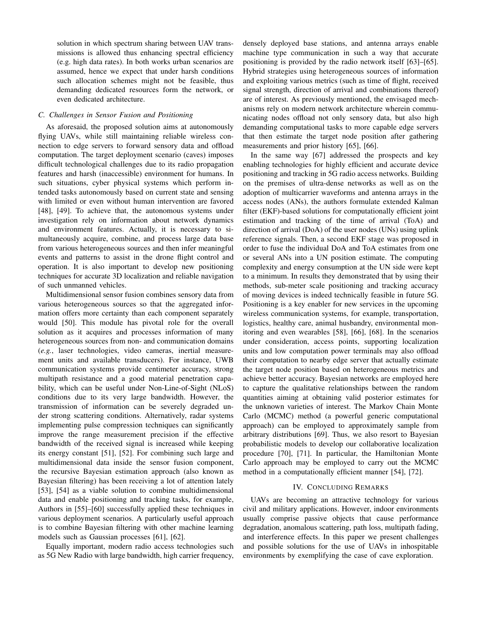solution in which spectrum sharing between UAV transmissions is allowed thus enhancing spectral efficiency (e.g. high data rates). In both works urban scenarios are assumed, hence we expect that under harsh conditions such allocation schemes might not be feasible, thus demanding dedicated resources form the network, or even dedicated architecture.

## *C. Challenges in Sensor Fusion and Positioning*

As aforesaid, the proposed solution aims at autonomously flying UAVs, while still maintaining reliable wireless connection to edge servers to forward sensory data and offload computation. The target deployment scenario (caves) imposes difficult technological challenges due to its radio propagation features and harsh (inaccessible) environment for humans. In such situations, cyber physical systems which perform intended tasks autonomously based on current state and sensing with limited or even without human intervention are favored [48], [49]. To achieve that, the autonomous systems under investigation rely on information about network dynamics and environment features. Actually, it is necessary to simultaneously acquire, combine, and process large data base from various heterogeneous sources and then infer meaningful events and patterns to assist in the drone flight control and operation. It is also important to develop new positioning techniques for accurate 3D localization and reliable navigation of such unmanned vehicles.

Multidimensional sensor fusion combines sensory data from various heterogeneous sources so that the aggregated information offers more certainty than each component separately would [50]. This module has pivotal role for the overall solution as it acquires and processes information of many heterogeneous sources from non- and communication domains (*e.g.*, laser technologies, video cameras, inertial measurement units and available transducers). For instance, UWB communication systems provide centimeter accuracy, strong multipath resistance and a good material penetration capability, which can be useful under Non-Line-of-Sight (NLoS) conditions due to its very large bandwidth. However, the transmission of information can be severely degraded under strong scattering conditions. Alternatively, radar systems implementing pulse compression techniques can significantly improve the range measurement precision if the effective bandwidth of the received signal is increased while keeping its energy constant [51], [52]. For combining such large and multidimensional data inside the sensor fusion component, the recursive Bayesian estimation approach (also known as Bayesian filtering) has been receiving a lot of attention lately [53], [54] as a viable solution to combine multidimensional data and enable positioning and tracking tasks, for example, Authors in [55]–[60] successfully applied these techniques in various deployment scenarios. A particularly useful approach is to combine Bayesian filtering with other machine learning models such as Gaussian processes [61], [62].

Equally important, modern radio access technologies such as 5G New Radio with large bandwidth, high carrier frequency, densely deployed base stations, and antenna arrays enable machine type communication in such a way that accurate positioning is provided by the radio network itself [63]–[65]. Hybrid strategies using heterogeneous sources of information and exploiting various metrics (such as time of flight, received signal strength, direction of arrival and combinations thereof) are of interest. As previously mentioned, the envisaged mechanisms rely on modern network architecture wherein communicating nodes offload not only sensory data, but also high demanding computational tasks to more capable edge servers that then estimate the target node position after gathering measurements and prior history [65], [66].

In the same way [67] addressed the prospects and key enabling technologies for highly efficient and accurate device positioning and tracking in 5G radio access networks. Building on the premises of ultra-dense networks as well as on the adoption of multicarrier waveforms and antenna arrays in the access nodes (ANs), the authors formulate extended Kalman filter (EKF)-based solutions for computationally efficient joint estimation and tracking of the time of arrival (ToA) and direction of arrival (DoA) of the user nodes (UNs) using uplink reference signals. Then, a second EKF stage was proposed in order to fuse the individual DoA and ToA estimates from one or several ANs into a UN position estimate. The computing complexity and energy consumption at the UN side were kept to a minimum. In results they demonstrated that by using their methods, sub-meter scale positioning and tracking accuracy of moving devices is indeed technically feasible in future 5G. Positioning is a key enabler for new services in the upcoming wireless communication systems, for example, transportation, logistics, healthy care, animal husbandry, environmental monitoring and even wearables [58], [66], [68]. In the scenarios under consideration, access points, supporting localization units and low computation power terminals may also offload their computation to nearby edge server that actually estimate the target node position based on heterogeneous metrics and achieve better accuracy. Bayesian networks are employed here to capture the qualitative relationships between the random quantities aiming at obtaining valid posterior estimates for the unknown varieties of interest. The Markov Chain Monte Carlo (MCMC) method (a powerful generic computational approach) can be employed to approximately sample from arbitrary distributions [69]. Thus, we also resort to Bayesian probabilistic models to develop our collaborative localization procedure [70], [71]. In particular, the Hamiltonian Monte Carlo approach may be employed to carry out the MCMC method in a computationally efficient manner [54], [72].

## IV. CONCLUDING REMARKS

UAVs are becoming an attractive technology for various civil and military applications. However, indoor environments usually comprise passive objects that cause performance degradation, anomalous scattering, path loss, multipath fading, and interference effects. In this paper we present challenges and possible solutions for the use of UAVs in inhospitable environments by exemplifying the case of cave exploration.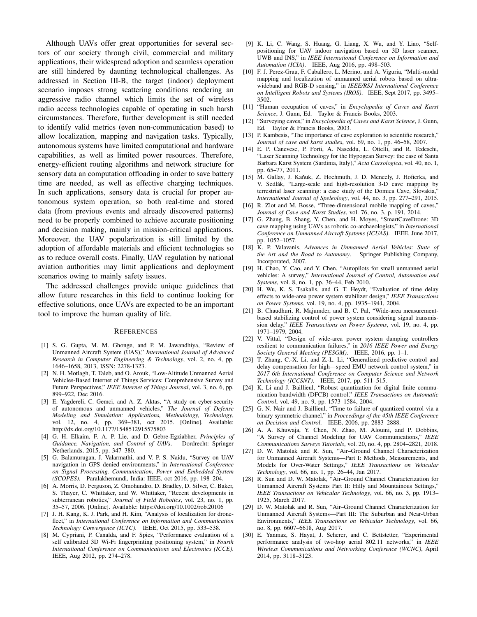Although UAVs offer great opportunities for several sectors of our society through civil, commercial and military applications, their widespread adoption and seamless operation are still hindered by daunting technological challenges. As addressed in Section III-B, the target (indoor) deployment scenario imposes strong scattering conditions rendering an aggressive radio channel which limits the set of wireless radio access technologies capable of operating in such harsh circumstances. Therefore, further development is still needed to identify valid metrics (even non-communication based) to allow localization, mapping and navigation tasks. Typically, autonomous systems have limited computational and hardware capabilities, as well as limited power resources. Therefore, energy-efficient routing algorithms and network structure for sensory data an computation offloading in order to save battery time are needed, as well as effective charging techniques. In such applications, sensory data is crucial for proper autonomous system operation, so both real-time and stored data (from previous events and already discovered patterns) need to be properly combined to achieve accurate positioning and decision making, mainly in mission-critical applications. Moreover, the UAV popularization is still limited by the adoption of affordable materials and efficient technologies so as to reduce overall costs. Finally, UAV regulation by national aviation authorities may limit applications and deployment scenarios owing to mainly safety issues.

The addressed challenges provide unique guidelines that allow future researches in this field to continue looking for effective solutions, once UAVs are expected to be an important tool to improve the human quality of life.

#### **REFERENCES**

- [1] S. G. Gupta, M. M. Ghonge, and P. M. Jawandhiya, "Review of Unmanned Aircraft System (UAS)," *International Journal of Advanced Research in Computer Engineering & Technology*, vol. 2, no. 4, pp. 1646–1658, 2013, ISSN: 2278-1323.
- [2] N. H. Motlagh, T. Taleb, and O. Arouk, "Low-Altitude Unmanned Aerial Vehicles-Based Internet of Things Services: Comprehensive Survey and Future Perspectives," *IEEE Internet of Things Journal*, vol. 3, no. 6, pp. 899–922, Dec 2016.
- [3] E. Yagdereli, C. Gemci, and A. Z. Aktas, "A study on cyber-security of autonomous and unmanned vehicles," *The Journal of Defense Modeling and Simulation: Applications, Methodology, Technology*, vol. 12, no. 4, pp. 369–381, oct 2015. [Online]. Available: http://dx.doi.org/10.1177/1548512915575803
- [4] G. H. Elkaim, F. A. P. Lie, and D. Gebre-Egziabher, *Principles of Guidance, Navigation, and Control of UAVs*. Dordrecht: Springer Netherlands, 2015, pp. 347–380.
- [5] G. Balamurugan, J. Valarmathi, and V. P. S. Naidu, "Survey on UAV navigation in GPS denied environments," in *International Conference on Signal Processing, Communication, Power and Embedded System (SCOPES)*. Paralakhemundi, India: IEEE, oct 2016, pp. 198–204.
- [6] A. Morris, D. Ferguson, Z. Omohundro, D. Bradley, D. Silver, C. Baker, S. Thayer, C. Whittaker, and W. Whittaker, "Recent developments in subterranean robotics," *Journal of Field Robotics*, vol. 23, no. 1, pp. 35–57, 2006. [Online]. Available: https://doi.org/10.1002/rob.20106
- [7] J. H. Kang, K. J. Park, and H. Kim, "Analysis of localization for dronefleet," in *International Conference on Information and Communication Technology Convergence (ICTC)*. IEEE, Oct 2015, pp. 533–538.
- [8] M. Cypriani, P. Canalda, and F. Spies, "Performance evaluation of a self calibrated 3D Wi-Fi fingerprinting positioning system," in *Fourth International Conference on Communications and Electronics (ICCE)*. IEEE, Aug 2012, pp. 274–278.
- [9] K. Li, C. Wang, S. Huang, G. Liang, X. Wu, and Y. Liao, "Selfpositioning for UAV indoor navigation based on 3D laser scanner, UWB and INS," in *IEEE International Conference on Information and Automation (ICIA)*. IEEE, Aug 2016, pp. 498–503.
- [10] F. J. Perez-Grau, F. Caballero, L. Merino, and A. Viguria, "Multi-modal mapping and localization of unmanned aerial robots based on ultrawideband and RGB-D sensing," in *IEEE/RSJ International Conference on Intelligent Robots and Systems (IROS)*. IEEE, Sept 2017, pp. 3495– 3502.
- [11] "Human occupation of caves," in *Encyclopedia of Caves and Karst Science*, J. Gunn, Ed. Taylor & Francis Books, 2003.
- [12] "Surveying caves," in *Encyclopedia of Caves and Karst Science*, J. Gunn, Ed. Taylor & Francis Books, 2003.
- [13] P. Kambesis, "The importance of cave exploration to scientific research," *Journal of cave and karst studies*, vol. 69, no. 1, pp. 46–58, 2007.
- [14] E. P. Canevese, P. Forti, A. Naseddu, L. Ottelli, and R. Tedeschi, "Laser Scanning Technology for the Hypogean Survey: the case of Santa Barbara Karst System (Sardinia, Italy)," *Acta Carsologica*, vol. 40, no. 1, pp. 65–77, 2011.
- [15] M. Gallay, J. Kaňuk, Z. Hochmuth, J. D. Meneely, J. Hofierka, and V. Sedlák, "Large-scale and high-resolution 3-D cave mapping by terrestrial laser scanning: a case study of the Domica Cave, Slovakia," *International Journal of Speleology*, vol. 44, no. 3, pp. 277–291, 2015.
- [16] R. Zlot and M. Bosse, "Three-dimensional mobile mapping of caves," *Journal of Cave and Karst Studies*, vol. 76, no. 3, p. 191, 2014.
- [17] G. Zhang, B. Shang, Y. Chen, and H. Moyes, "SmartCaveDrone: 3D cave mapping using UAVs as robotic co-archaeologists," in *International Conference on Unmanned Aircraft Systems (ICUAS)*. IEEE, June 2017, pp. 1052–1057.
- [18] K. P. Valavanis, *Advances in Unmanned Aerial Vehicles: State of the Art and the Road to Autonomy*. Springer Publishing Company, Incorporated, 2007.
- [19] H. Chao, Y. Cao, and Y. Chen, "Autopilots for small unmanned aerial vehicles: A survey," *International Journal of Control, Automation and Systems*, vol. 8, no. 1, pp. 36–44, Feb 2010.
- [20] H. Wu, K. S. Tsakalis, and G. T. Heydt, "Evaluation of time delay effects to wide-area power system stabilizer design," *IEEE Transactions on Power Systems*, vol. 19, no. 4, pp. 1935–1941, 2004.
- [21] B. Chaudhuri, R. Majumder, and B. C. Pal, "Wide-area measurementbased stabilizing control of power system considering signal transmission delay," *IEEE Transactions on Power Systems*, vol. 19, no. 4, pp. 1971–1979, 2004.
- [22] V. Vittal, "Design of wide-area power system damping controllers resilient to communication failures," in *2016 IEEE Power and Energy Society General Meeting (PESGM)*. IEEE, 2016, pp. 1–1.
- [23] T. Zhang, C.-X. Li, and Z.-L. Li, "Generalized predictive control and delay compensation for high—speed EMU network control system," in *2017 6th International Conference on Computer Science and Network Technology (ICCSNT)*. IEEE, 2017, pp. 511–515.
- [24] K. Li and J. Baillieul, "Robust quantization for digital finite communication bandwidth (DFCB) control," *IEEE Transactions on Automatic Control*, vol. 49, no. 9, pp. 1573–1584, 2004.
- [25] G. N. Nair and J. Baillieul, "Time to failure of quantized control via a binary symmetric channel," in *Proceedings of the 45th IEEE Conference on Decision and Control*. IEEE, 2006, pp. 2883–2888.
- [26] A. A. Khuwaja, Y. Chen, N. Zhao, M. Alouini, and P. Dobbins, "A Survey of Channel Modeling for UAV Communications," *IEEE Communications Surveys Tutorials*, vol. 20, no. 4, pp. 2804–2821, 2018.
- [27] D. W. Matolak and R. Sun, "Air–Ground Channel Characterization for Unmanned Aircraft Systems—Part I: Methods, Measurements, and Models for Over-Water Settings," *IEEE Transactions on Vehicular Technology*, vol. 66, no. 1, pp. 26–44, Jan 2017.
- [28] R. Sun and D. W. Matolak, "Air-Ground Channel Characterization for Unmanned Aircraft Systems Part II: Hilly and Mountainous Settings," *IEEE Transactions on Vehicular Technology*, vol. 66, no. 3, pp. 1913– 1925, March 2017.
- [29] D. W. Matolak and R. Sun, "Air–Ground Channel Characterization for Unmanned Aircraft Systems—Part III: The Suburban and Near-Urban Environments," *IEEE Transactions on Vehicular Technology*, vol. 66, no. 8, pp. 6607–6618, Aug 2017.
- [30] E. Yanmaz, S. Hayat, J. Scherer, and C. Bettstetter, "Experimental performance analysis of two-hop aerial 802.11 networks," in *IEEE Wireless Communications and Networking Conference (WCNC)*, April 2014, pp. 3118–3123.